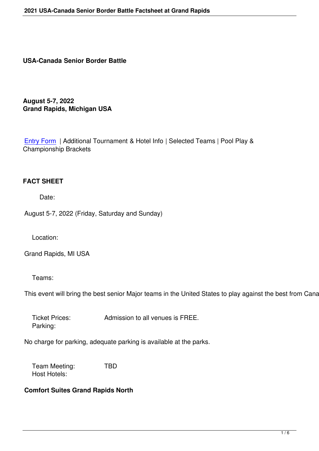#### **USA-Canada Senior Border Battle**

**August 5-7, 2022 Grand Rapids, Michigan USA**

Entry Form | Additional Tournament & Hotel Info | Selected Teams | Pool Play & Championship Brackets

#### **FACT SHEET**

Date:

August 5-7, 2022 (Friday, Saturday and Sunday)

Location:

Grand Rapids, MI USA

Teams:

This event will bring the best senior Major teams in the United States to play against the best from Canada.

 Ticket Prices: Admission to all venues is FREE. Parking:

No charge for parking, adequate parking is available at the parks.

 Team Meeting: TBD Host Hotels:

#### **Comfort Suites Grand Rapids North**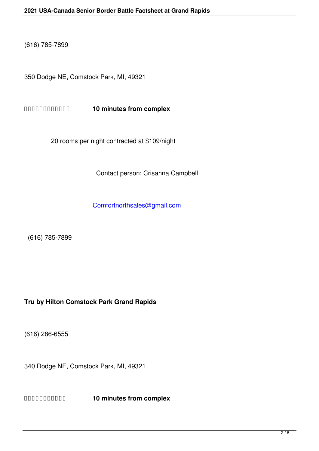350 Dodge NE, Comstock Park, MI, 49321

 **10 minutes from complex**

20 rooms per night contracted at \$109/night

Contact person: Crisanna Campbell

Comfortnorthsales@gmail.com

(616) 785-7899

# **Tru by Hilton Comstock Park Grand Rapids**

(616) 286-6555

340 Dodge NE, Comstock Park, MI, 49321

 **10 minutes from complex**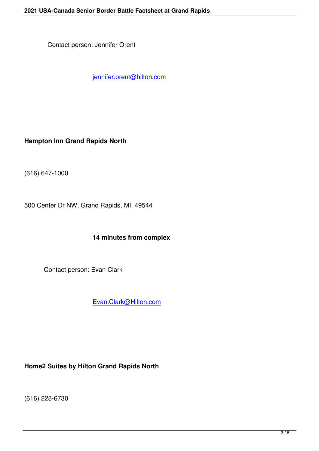jennifer.orent@hilton.com

**Hampton Inn Grand Rapids North**

(616) 647-1000

500 Center Dr NW, Grand Rapids, MI, 49544

# **14 minutes from complex**

Contact person: Evan Clark

Evan.Clark@Hilton.com

**Home2 Suites by Hilton Grand Rapids North**

(616) 228-6730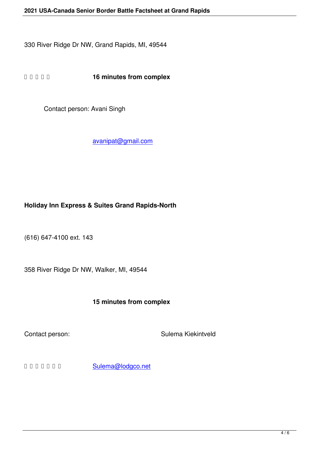**16 minutes from complex** 

Contact person: Avani Singh

avanipat@gmail.com

# **Holiday Inn Express & Suites Grand Rapids-North**

(616) 647-4100 ext. 143

358 River Ridge Dr NW, Walker, MI, 49544

### **15 minutes from complex**

Contact person: Sulema Kiekintveld

 Sulema@lodgco.net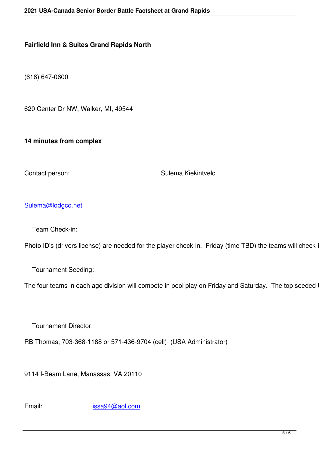(616) 647-0600

620 Center Dr NW, Walker, MI, 49544

**14 minutes from complex**

Contact person: Sulema Kiekintveld

### Sulema@lodgco.net

 [Team Check-in:](mailto:Sulema@lodgco.net)

Photo ID's (drivers license) are needed for the player check-in. Friday (time TBD) the teams will check-in a

Tournament Seeding:

The four teams in each age division will compete in pool play on Friday and Saturday. The top seeded US

Tournament Director:

RB Thomas, 703-368-1188 or 571-436-9704 (cell) (USA Administrator)

9114 I-Beam Lane, Manassas, VA 20110

Email: issa94@aol.com